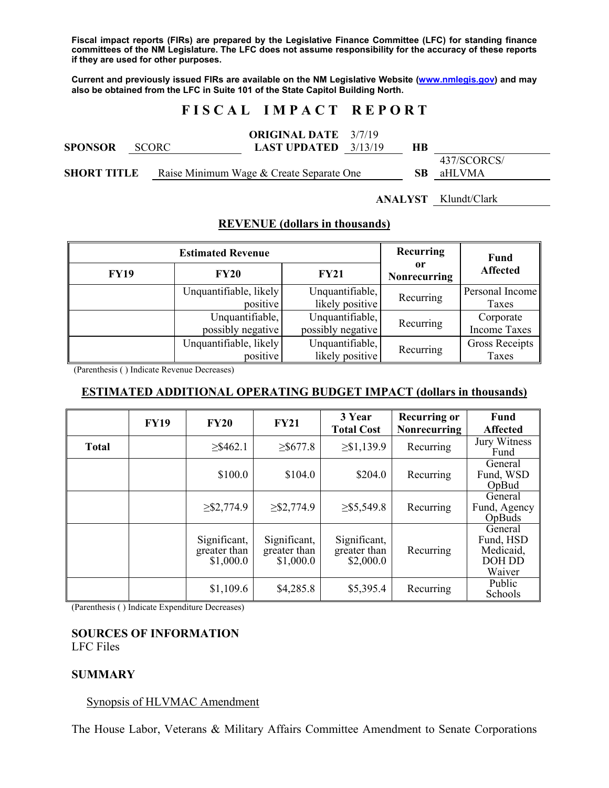**Fiscal impact reports (FIRs) are prepared by the Legislative Finance Committee (LFC) for standing finance committees of the NM Legislature. The LFC does not assume responsibility for the accuracy of these reports if they are used for other purposes.** 

**Current and previously issued FIRs are available on the NM Legislative Website (www.nmlegis.gov) and may also be obtained from the LFC in Suite 101 of the State Capitol Building North.** 

# **F I S C A L I M P A C T R E P O R T**

| <b>SPONSOR</b><br>SCORC - | <b>LAST UPDATED</b> $3/13/19$            | <b>ORIGINAL DATE</b> 3/7/19 | HВ   |                       |  |
|---------------------------|------------------------------------------|-----------------------------|------|-----------------------|--|
| <b>SHORT TITLE</b>        | Raise Minimum Wage & Create Separate One |                             | -SB- | 437/SCORCS/<br>aHLVMA |  |

# **ANALYST** Klundt/Clark

# **REVENUE (dollars in thousands)**

|             | <b>Estimated Revenue</b>             | Recurring                            | Fund               |                                  |
|-------------|--------------------------------------|--------------------------------------|--------------------|----------------------------------|
| <b>FY19</b> | <b>FY20</b>                          | <b>FY21</b>                          | or<br>Nonrecurring | <b>Affected</b>                  |
|             | Unquantifiable, likely<br>positive   | Unquantifiable,<br>likely positive   | Recurring          | Personal Income<br>Taxes         |
|             | Unquantifiable,<br>possibly negative | Unquantifiable,<br>possibly negative | Recurring          | Corporate<br><b>Income Taxes</b> |
|             | Unquantifiable, likely<br>positive   | Unquantifiable,<br>likely positive   | Recurring          | <b>Gross Receipts</b><br>Taxes   |

(Parenthesis ( ) Indicate Revenue Decreases)

### **ESTIMATED ADDITIONAL OPERATING BUDGET IMPACT (dollars in thousands)**

|              | <b>FY19</b> | <b>FY20</b>                               | <b>FY21</b>                               | 3 Year<br><b>Total Cost</b>               | <b>Recurring or</b><br><b>Nonrecurring</b> | Fund<br><b>Affected</b>                               |
|--------------|-------------|-------------------------------------------|-------------------------------------------|-------------------------------------------|--------------------------------------------|-------------------------------------------------------|
| <b>Total</b> |             | $>$ \$462.1                               | $>$ \$677.8                               | $\geq$ \$1,139.9                          | Recurring                                  | Jury Witness<br>Fund                                  |
|              |             | \$100.0                                   | \$104.0                                   | \$204.0                                   | Recurring                                  | General<br>Fund, WSD<br>OpBud                         |
|              |             | $\geq$ \$2,774.9                          | $\geq$ \$2,774.9                          | $\geq$ \$5,549.8                          | Recurring                                  | General<br>Fund, Agency<br>OpBuds                     |
|              |             | Significant,<br>greater than<br>\$1,000.0 | Significant,<br>greater than<br>\$1,000.0 | Significant,<br>greater than<br>\$2,000.0 | Recurring                                  | General<br>Fund, HSD<br>Medicaid,<br>DOH DD<br>Waiver |
|              |             | \$1,109.6                                 | \$4,285.8                                 | \$5,395.4                                 | Recurring                                  | Public<br>Schools                                     |

(Parenthesis ( ) Indicate Expenditure Decreases)

### **SOURCES OF INFORMATION**  LFC Files

# **SUMMARY**

Synopsis of HLVMAC Amendment

The House Labor, Veterans & Military Affairs Committee Amendment to Senate Corporations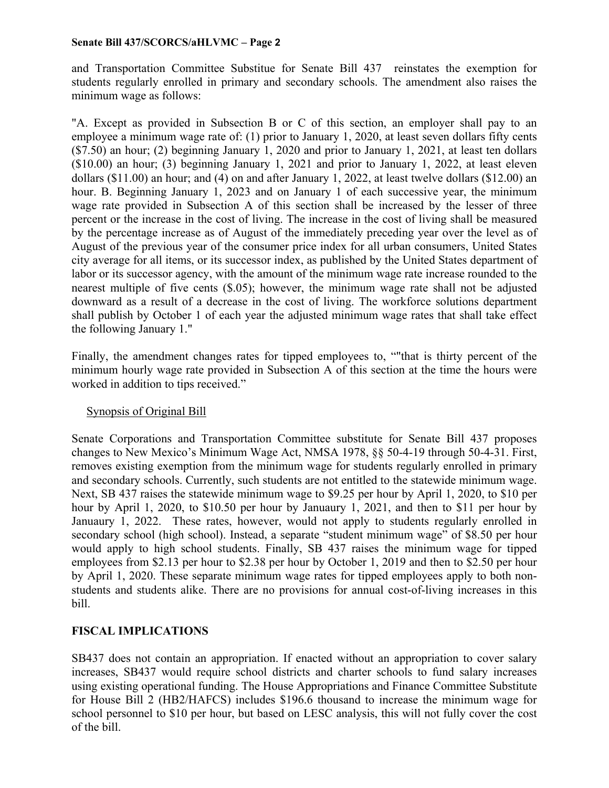and Transportation Committee Substitue for Senate Bill 437 reinstates the exemption for students regularly enrolled in primary and secondary schools. The amendment also raises the minimum wage as follows:

"A. Except as provided in Subsection B or C of this section, an employer shall pay to an employee a minimum wage rate of: (1) prior to January 1, 2020, at least seven dollars fifty cents (\$7.50) an hour; (2) beginning January 1, 2020 and prior to January 1, 2021, at least ten dollars (\$10.00) an hour; (3) beginning January 1, 2021 and prior to January 1, 2022, at least eleven dollars (\$11.00) an hour; and (4) on and after January 1, 2022, at least twelve dollars (\$12.00) an hour. B. Beginning January 1, 2023 and on January 1 of each successive year, the minimum wage rate provided in Subsection A of this section shall be increased by the lesser of three percent or the increase in the cost of living. The increase in the cost of living shall be measured by the percentage increase as of August of the immediately preceding year over the level as of August of the previous year of the consumer price index for all urban consumers, United States city average for all items, or its successor index, as published by the United States department of labor or its successor agency, with the amount of the minimum wage rate increase rounded to the nearest multiple of five cents (\$.05); however, the minimum wage rate shall not be adjusted downward as a result of a decrease in the cost of living. The workforce solutions department shall publish by October 1 of each year the adjusted minimum wage rates that shall take effect the following January 1."

Finally, the amendment changes rates for tipped employees to, ""that is thirty percent of the minimum hourly wage rate provided in Subsection A of this section at the time the hours were worked in addition to tips received."

# Synopsis of Original Bill

Senate Corporations and Transportation Committee substitute for Senate Bill 437 proposes changes to New Mexico's Minimum Wage Act, NMSA 1978, §§ 50-4-19 through 50-4-31. First, removes existing exemption from the minimum wage for students regularly enrolled in primary and secondary schools. Currently, such students are not entitled to the statewide minimum wage. Next, SB 437 raises the statewide minimum wage to \$9.25 per hour by April 1, 2020, to \$10 per hour by April 1, 2020, to \$10.50 per hour by Januaury 1, 2021, and then to \$11 per hour by Januaury 1, 2022. These rates, however, would not apply to students regularly enrolled in secondary school (high school). Instead, a separate "student minimum wage" of \$8.50 per hour would apply to high school students. Finally, SB 437 raises the minimum wage for tipped employees from \$2.13 per hour to \$2.38 per hour by October 1, 2019 and then to \$2.50 per hour by April 1, 2020. These separate minimum wage rates for tipped employees apply to both nonstudents and students alike. There are no provisions for annual cost-of-living increases in this bill.

# **FISCAL IMPLICATIONS**

SB437 does not contain an appropriation. If enacted without an appropriation to cover salary increases, SB437 would require school districts and charter schools to fund salary increases using existing operational funding. The House Appropriations and Finance Committee Substitute for House Bill 2 (HB2/HAFCS) includes \$196.6 thousand to increase the minimum wage for school personnel to \$10 per hour, but based on LESC analysis, this will not fully cover the cost of the bill.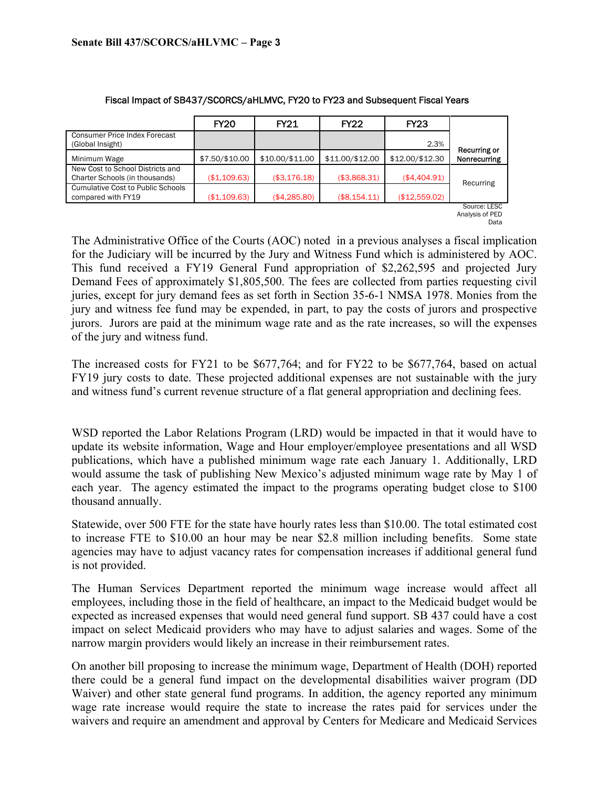|                                                                    | <b>FY20</b>    | <b>FY21</b>     | <b>FY22</b>     | <b>FY23</b>     |                                         |
|--------------------------------------------------------------------|----------------|-----------------|-----------------|-----------------|-----------------------------------------|
| <b>Consumer Price Index Forecast</b><br>(Global Insight)           |                |                 |                 | 2.3%            |                                         |
| Minimum Wage                                                       | \$7.50/\$10.00 | \$10.00/\$11.00 | \$11.00/\$12.00 | \$12.00/\$12.30 | Recurring or<br>Nonrecurring            |
| New Cost to School Districts and<br>Charter Schools (in thousands) | (\$1,109.63)   | (\$3,176.18)    | (\$3,868.31)    | (\$4,404.91)    |                                         |
| <b>Cumulative Cost to Public Schools</b><br>compared with FY19     | (\$1,109.63)   | (\$4,285.80)    | (\$8,154.11)    | (\$12,559.02)   | Recurring                               |
|                                                                    |                |                 |                 |                 | Source: LESC<br>Analysis of PED<br>Data |

#### Fiscal Impact of SB437/SCORCS/aHLMVC, FY20 to FY23 and Subsequent Fiscal Years

The Administrative Office of the Courts (AOC) noted in a previous analyses a fiscal implication for the Judiciary will be incurred by the Jury and Witness Fund which is administered by AOC. This fund received a FY19 General Fund appropriation of \$2,262,595 and projected Jury Demand Fees of approximately \$1,805,500. The fees are collected from parties requesting civil juries, except for jury demand fees as set forth in Section 35-6-1 NMSA 1978. Monies from the jury and witness fee fund may be expended, in part, to pay the costs of jurors and prospective jurors. Jurors are paid at the minimum wage rate and as the rate increases, so will the expenses of the jury and witness fund.

The increased costs for FY21 to be \$677,764; and for FY22 to be \$677,764, based on actual FY19 jury costs to date. These projected additional expenses are not sustainable with the jury and witness fund's current revenue structure of a flat general appropriation and declining fees.

WSD reported the Labor Relations Program (LRD) would be impacted in that it would have to update its website information, Wage and Hour employer/employee presentations and all WSD publications, which have a published minimum wage rate each January 1. Additionally, LRD would assume the task of publishing New Mexico's adjusted minimum wage rate by May 1 of each year. The agency estimated the impact to the programs operating budget close to \$100 thousand annually.

Statewide, over 500 FTE for the state have hourly rates less than \$10.00. The total estimated cost to increase FTE to \$10.00 an hour may be near \$2.8 million including benefits. Some state agencies may have to adjust vacancy rates for compensation increases if additional general fund is not provided.

The Human Services Department reported the minimum wage increase would affect all employees, including those in the field of healthcare, an impact to the Medicaid budget would be expected as increased expenses that would need general fund support. SB 437 could have a cost impact on select Medicaid providers who may have to adjust salaries and wages. Some of the narrow margin providers would likely an increase in their reimbursement rates.

On another bill proposing to increase the minimum wage, Department of Health (DOH) reported there could be a general fund impact on the developmental disabilities waiver program (DD Waiver) and other state general fund programs. In addition, the agency reported any minimum wage rate increase would require the state to increase the rates paid for services under the waivers and require an amendment and approval by Centers for Medicare and Medicaid Services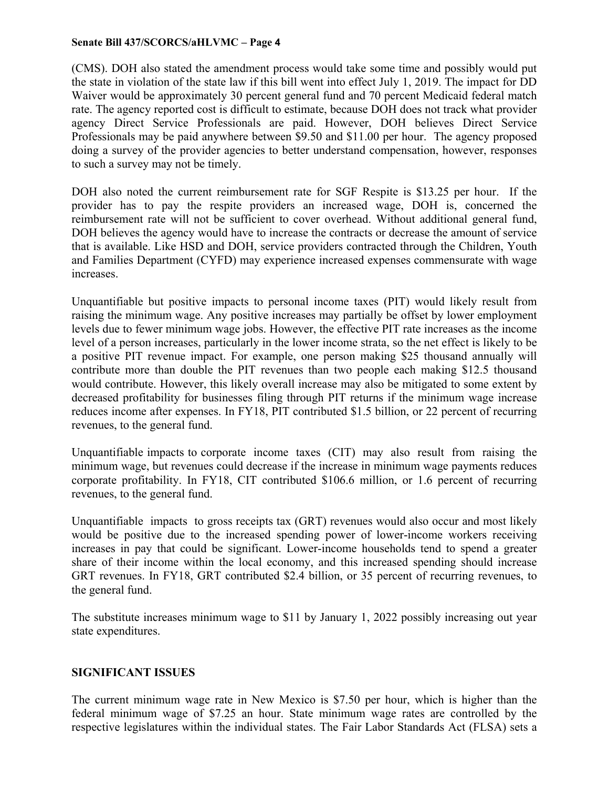(CMS). DOH also stated the amendment process would take some time and possibly would put the state in violation of the state law if this bill went into effect July 1, 2019. The impact for DD Waiver would be approximately 30 percent general fund and 70 percent Medicaid federal match rate. The agency reported cost is difficult to estimate, because DOH does not track what provider agency Direct Service Professionals are paid. However, DOH believes Direct Service Professionals may be paid anywhere between \$9.50 and \$11.00 per hour. The agency proposed doing a survey of the provider agencies to better understand compensation, however, responses to such a survey may not be timely.

DOH also noted the current reimbursement rate for SGF Respite is \$13.25 per hour. If the provider has to pay the respite providers an increased wage, DOH is, concerned the reimbursement rate will not be sufficient to cover overhead. Without additional general fund, DOH believes the agency would have to increase the contracts or decrease the amount of service that is available. Like HSD and DOH, service providers contracted through the Children, Youth and Families Department (CYFD) may experience increased expenses commensurate with wage increases.

Unquantifiable but positive impacts to personal income taxes (PIT) would likely result from raising the minimum wage. Any positive increases may partially be offset by lower employment levels due to fewer minimum wage jobs. However, the effective PIT rate increases as the income level of a person increases, particularly in the lower income strata, so the net effect is likely to be a positive PIT revenue impact. For example, one person making \$25 thousand annually will contribute more than double the PIT revenues than two people each making \$12.5 thousand would contribute. However, this likely overall increase may also be mitigated to some extent by decreased profitability for businesses filing through PIT returns if the minimum wage increase reduces income after expenses. In FY18, PIT contributed \$1.5 billion, or 22 percent of recurring revenues, to the general fund.

Unquantifiable impacts to corporate income taxes (CIT) may also result from raising the minimum wage, but revenues could decrease if the increase in minimum wage payments reduces corporate profitability. In FY18, CIT contributed \$106.6 million, or 1.6 percent of recurring revenues, to the general fund.

Unquantifiable impacts to gross receipts tax (GRT) revenues would also occur and most likely would be positive due to the increased spending power of lower-income workers receiving increases in pay that could be significant. Lower-income households tend to spend a greater share of their income within the local economy, and this increased spending should increase GRT revenues. In FY18, GRT contributed \$2.4 billion, or 35 percent of recurring revenues, to the general fund.

The substitute increases minimum wage to \$11 by January 1, 2022 possibly increasing out year state expenditures.

# **SIGNIFICANT ISSUES**

The current minimum wage rate in New Mexico is \$7.50 per hour, which is higher than the federal minimum wage of \$7.25 an hour. State minimum wage rates are controlled by the respective legislatures within the individual states. The Fair Labor Standards Act (FLSA) sets a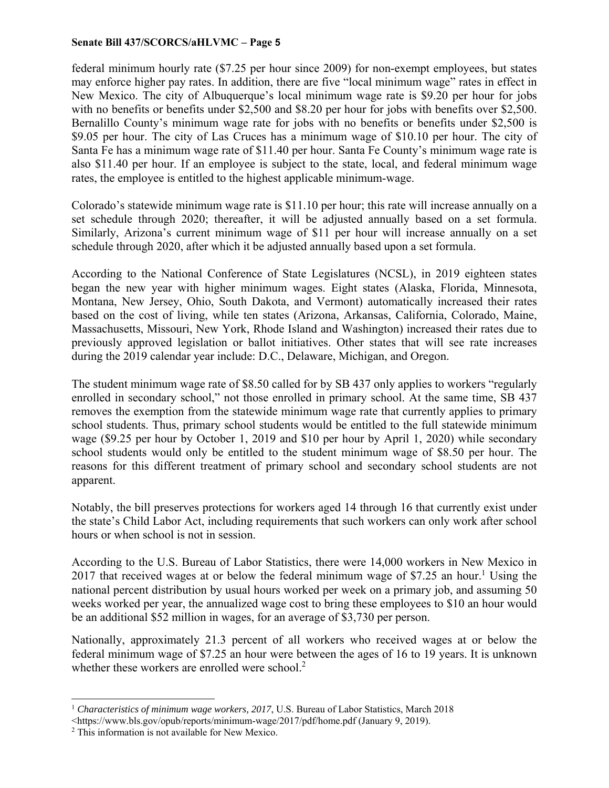federal minimum hourly rate (\$7.25 per hour since 2009) for non-exempt employees, but states may enforce higher pay rates. In addition, there are five "local minimum wage" rates in effect in New Mexico. The city of Albuquerque's local minimum wage rate is \$9.20 per hour for jobs with no benefits or benefits under \$2,500 and \$8.20 per hour for jobs with benefits over \$2,500. Bernalillo County's minimum wage rate for jobs with no benefits or benefits under \$2,500 is \$9.05 per hour. The city of Las Cruces has a minimum wage of \$10.10 per hour. The city of Santa Fe has a minimum wage rate of \$11.40 per hour. Santa Fe County's minimum wage rate is also \$11.40 per hour. If an employee is subject to the state, local, and federal minimum wage rates, the employee is entitled to the highest applicable minimum-wage.

Colorado's statewide minimum wage rate is \$11.10 per hour; this rate will increase annually on a set schedule through 2020; thereafter, it will be adjusted annually based on a set formula. Similarly, Arizona's current minimum wage of \$11 per hour will increase annually on a set schedule through 2020, after which it be adjusted annually based upon a set formula.

According to the National Conference of State Legislatures (NCSL), in 2019 eighteen states began the new year with higher minimum wages. Eight states (Alaska, Florida, Minnesota, Montana, New Jersey, Ohio, South Dakota, and Vermont) automatically increased their rates based on the cost of living, while ten states (Arizona, Arkansas, California, Colorado, Maine, Massachusetts, Missouri, New York, Rhode Island and Washington) increased their rates due to previously approved legislation or ballot initiatives. Other states that will see rate increases during the 2019 calendar year include: D.C., Delaware, Michigan, and Oregon.

The student minimum wage rate of \$8.50 called for by SB 437 only applies to workers "regularly enrolled in secondary school," not those enrolled in primary school. At the same time, SB 437 removes the exemption from the statewide minimum wage rate that currently applies to primary school students. Thus, primary school students would be entitled to the full statewide minimum wage (\$9.25 per hour by October 1, 2019 and \$10 per hour by April 1, 2020) while secondary school students would only be entitled to the student minimum wage of \$8.50 per hour. The reasons for this different treatment of primary school and secondary school students are not apparent.

Notably, the bill preserves protections for workers aged 14 through 16 that currently exist under the state's Child Labor Act, including requirements that such workers can only work after school hours or when school is not in session.

According to the U.S. Bureau of Labor Statistics, there were 14,000 workers in New Mexico in 2017 that received wages at or below the federal minimum wage of \$7.25 an hour.<sup>1</sup> Using the national percent distribution by usual hours worked per week on a primary job, and assuming 50 weeks worked per year, the annualized wage cost to bring these employees to \$10 an hour would be an additional \$52 million in wages, for an average of \$3,730 per person.

Nationally, approximately 21.3 percent of all workers who received wages at or below the federal minimum wage of \$7.25 an hour were between the ages of 16 to 19 years. It is unknown whether these workers are enrolled were school. $2$ 

l

<sup>1</sup> *Characteristics of minimum wage workers, 2017*, U.S. Bureau of Labor Statistics, March 2018

<sup>&</sup>lt;https://www.bls.gov/opub/reports/minimum-wage/2017/pdf/home.pdf (January 9, 2019).

 $2$  This information is not available for New Mexico.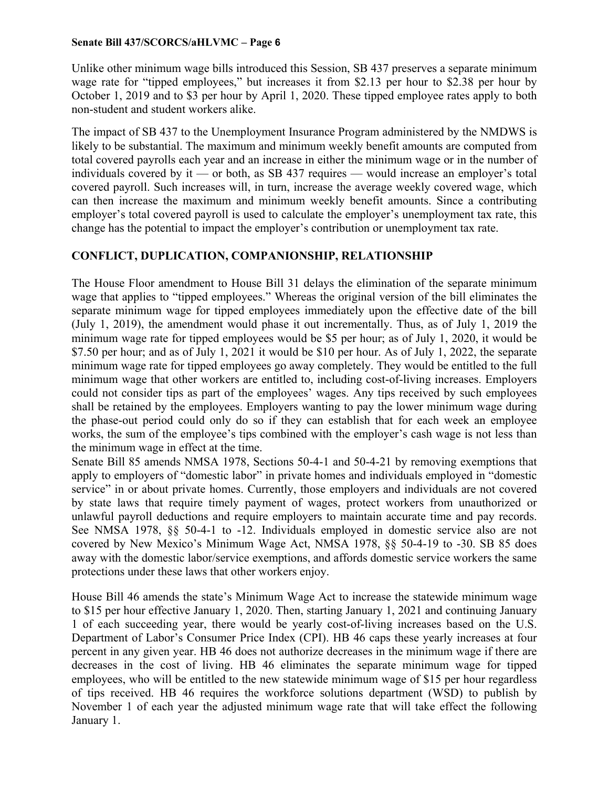Unlike other minimum wage bills introduced this Session, SB 437 preserves a separate minimum wage rate for "tipped employees," but increases it from \$2.13 per hour to \$2.38 per hour by October 1, 2019 and to \$3 per hour by April 1, 2020. These tipped employee rates apply to both non-student and student workers alike.

The impact of SB 437 to the Unemployment Insurance Program administered by the NMDWS is likely to be substantial. The maximum and minimum weekly benefit amounts are computed from total covered payrolls each year and an increase in either the minimum wage or in the number of individuals covered by it — or both, as SB 437 requires — would increase an employer's total covered payroll. Such increases will, in turn, increase the average weekly covered wage, which can then increase the maximum and minimum weekly benefit amounts. Since a contributing employer's total covered payroll is used to calculate the employer's unemployment tax rate, this change has the potential to impact the employer's contribution or unemployment tax rate.

# **CONFLICT, DUPLICATION, COMPANIONSHIP, RELATIONSHIP**

The House Floor amendment to House Bill 31 delays the elimination of the separate minimum wage that applies to "tipped employees." Whereas the original version of the bill eliminates the separate minimum wage for tipped employees immediately upon the effective date of the bill (July 1, 2019), the amendment would phase it out incrementally. Thus, as of July 1, 2019 the minimum wage rate for tipped employees would be \$5 per hour; as of July 1, 2020, it would be \$7.50 per hour; and as of July 1, 2021 it would be \$10 per hour. As of July 1, 2022, the separate minimum wage rate for tipped employees go away completely. They would be entitled to the full minimum wage that other workers are entitled to, including cost-of-living increases. Employers could not consider tips as part of the employees' wages. Any tips received by such employees shall be retained by the employees. Employers wanting to pay the lower minimum wage during the phase-out period could only do so if they can establish that for each week an employee works, the sum of the employee's tips combined with the employer's cash wage is not less than the minimum wage in effect at the time.

Senate Bill 85 amends NMSA 1978, Sections 50-4-1 and 50-4-21 by removing exemptions that apply to employers of "domestic labor" in private homes and individuals employed in "domestic service" in or about private homes. Currently, those employers and individuals are not covered by state laws that require timely payment of wages, protect workers from unauthorized or unlawful payroll deductions and require employers to maintain accurate time and pay records. See NMSA 1978, §§ 50-4-1 to -12. Individuals employed in domestic service also are not covered by New Mexico's Minimum Wage Act, NMSA 1978, §§ 50-4-19 to -30. SB 85 does away with the domestic labor/service exemptions, and affords domestic service workers the same protections under these laws that other workers enjoy.

House Bill 46 amends the state's Minimum Wage Act to increase the statewide minimum wage to \$15 per hour effective January 1, 2020. Then, starting January 1, 2021 and continuing January 1 of each succeeding year, there would be yearly cost-of-living increases based on the U.S. Department of Labor's Consumer Price Index (CPI). HB 46 caps these yearly increases at four percent in any given year. HB 46 does not authorize decreases in the minimum wage if there are decreases in the cost of living. HB 46 eliminates the separate minimum wage for tipped employees, who will be entitled to the new statewide minimum wage of \$15 per hour regardless of tips received. HB 46 requires the workforce solutions department (WSD) to publish by November 1 of each year the adjusted minimum wage rate that will take effect the following January 1.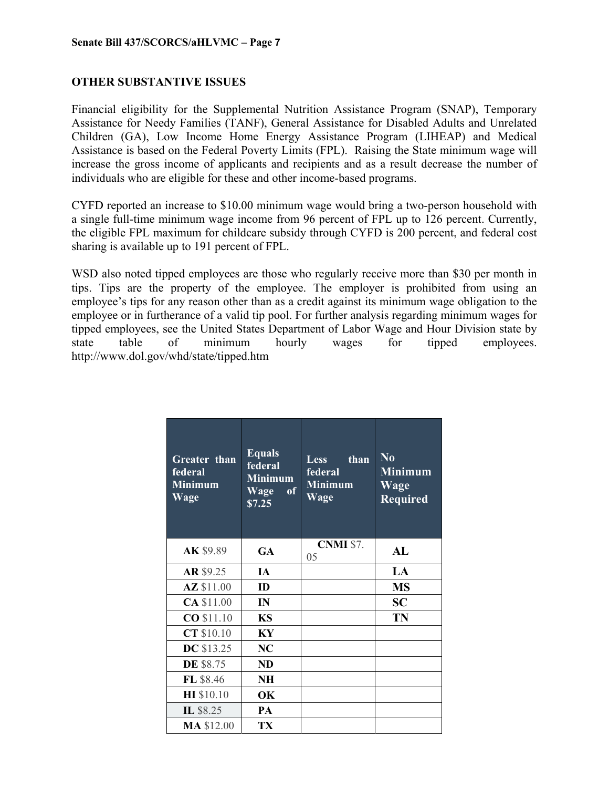# **OTHER SUBSTANTIVE ISSUES**

Financial eligibility for the Supplemental Nutrition Assistance Program (SNAP), Temporary Assistance for Needy Families (TANF), General Assistance for Disabled Adults and Unrelated Children (GA), Low Income Home Energy Assistance Program (LIHEAP) and Medical Assistance is based on the Federal Poverty Limits (FPL). Raising the State minimum wage will increase the gross income of applicants and recipients and as a result decrease the number of individuals who are eligible for these and other income-based programs.

CYFD reported an increase to \$10.00 minimum wage would bring a two-person household with a single full-time minimum wage income from 96 percent of FPL up to 126 percent. Currently, the eligible FPL maximum for childcare subsidy through CYFD is 200 percent, and federal cost sharing is available up to 191 percent of FPL.

WSD also noted tipped employees are those who regularly receive more than \$30 per month in tips. Tips are the property of the employee. The employer is prohibited from using an employee's tips for any reason other than as a credit against its minimum wage obligation to the employee or in furtherance of a valid tip pool. For further analysis regarding minimum wages for tipped employees, see the United States Department of Labor Wage and Hour Division state by state table of minimum hourly wages for tipped employees. http://www.dol.gov/whd/state/tipped.htm

| <b>Greater</b> than<br>federal<br><b>Minimum</b><br>Wage | <b>Equals</b><br>federal<br><b>Minimum</b><br>Wage<br><sub>of</sub><br>\$7.25 | than<br><b>Less</b><br><b>federal</b><br><b>Minimum</b><br>Wage | $\bf No$<br><b>Minimum</b><br>Wage<br><b>Required</b> |
|----------------------------------------------------------|-------------------------------------------------------------------------------|-----------------------------------------------------------------|-------------------------------------------------------|
| AK \$9.89                                                | <b>GA</b>                                                                     | <b>CNMI</b> \$7.<br>05                                          | AL                                                    |
| AR \$9.25                                                | IA                                                                            |                                                                 | LA                                                    |
| AZ \$11.00                                               | ID                                                                            |                                                                 | <b>MS</b>                                             |
| <b>CA \$11.00</b>                                        | IN                                                                            |                                                                 | <b>SC</b>                                             |
| CO \$11.10                                               | <b>KS</b>                                                                     |                                                                 | TN                                                    |
| CT \$10.10                                               | KY                                                                            |                                                                 |                                                       |
| <b>DC</b> \$13.25                                        | NC                                                                            |                                                                 |                                                       |
| <b>DE \$8.75</b>                                         | <b>ND</b>                                                                     |                                                                 |                                                       |
| FL \$8.46                                                | NH                                                                            |                                                                 |                                                       |
| <b>HI</b> \$10.10                                        | OK                                                                            |                                                                 |                                                       |
| IL \$8.25                                                | PA                                                                            |                                                                 |                                                       |
| <b>MA \$12.00</b>                                        | TX                                                                            |                                                                 |                                                       |